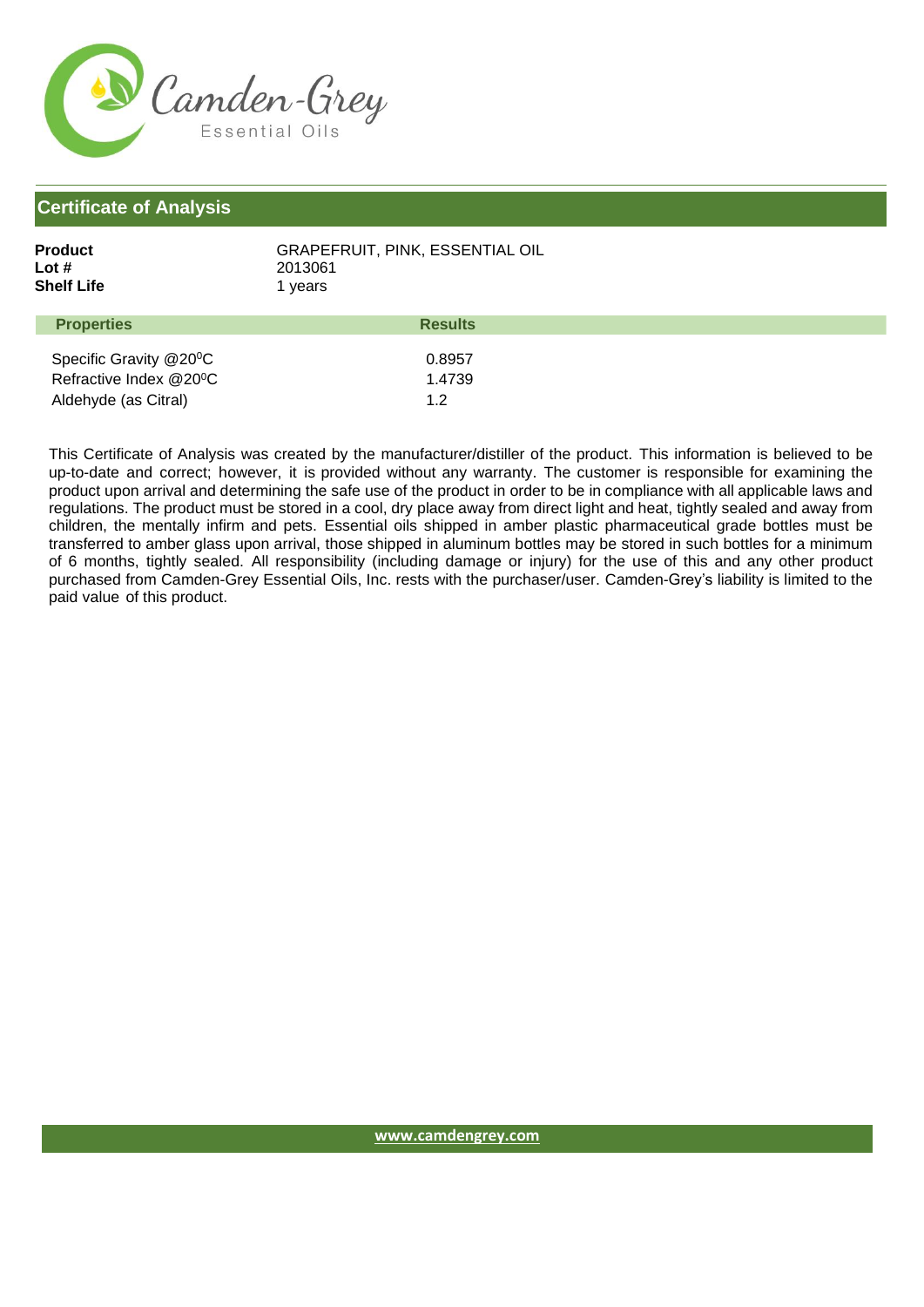

## **Certificate of Analysis**

| Product    | <b>GRAPEFRUIT, PINK, ESSENTIAL OIL</b> |
|------------|----------------------------------------|
| Lot #      | 2013061                                |
| Shelf Life | 1 years                                |
|            |                                        |

| <b>Properties</b>                   | <b>Results</b> |
|-------------------------------------|----------------|
|                                     |                |
| Specific Gravity @20 <sup>o</sup> C | 0.8957         |
| Refractive Index @20°C              | 1.4739         |
| Aldehyde (as Citral)                | 12             |

This Certificate of Analysis was created by the manufacturer/distiller of the product. This information is believed to be up-to-date and correct; however, it is provided without any warranty. The customer is responsible for examining the product upon arrival and determining the safe use of the product in order to be in compliance with all applicable laws and regulations. The product must be stored in a cool, dry place away from direct light and heat, tightly sealed and away from children, the mentally infirm and pets. Essential oils shipped in amber plastic pharmaceutical grade bottles must be transferred to amber glass upon arrival, those shipped in aluminum bottles may be stored in such bottles for a minimum of 6 months, tightly sealed. All responsibility (including damage or injury) for the use of this and any other product purchased from Camden-Grey Essential Oils, Inc. rests with the purchaser/user. Camden-Grey's liability is limited to the paid value of this product.